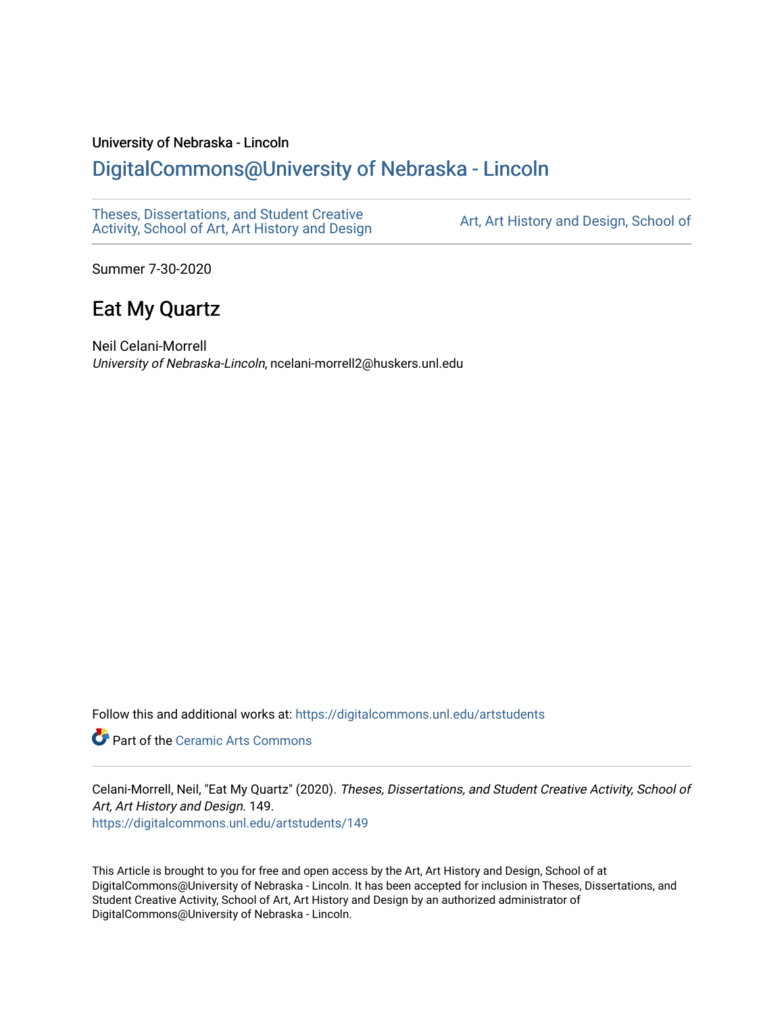## University of Nebraska - Lincoln

## [DigitalCommons@University of Nebraska - Lincoln](https://digitalcommons.unl.edu/)

[Theses, Dissertations, and Student Creative](https://digitalcommons.unl.edu/artstudents)  [Activity, School of Art, Art History and Design](https://digitalcommons.unl.edu/artstudents) [Art, Art History and Design, School of](https://digitalcommons.unl.edu/art) 

Summer 7-30-2020

# Eat My Quartz

Neil Celani-Morrell University of Nebraska-Lincoln, ncelani-morrell2@huskers.unl.edu

Follow this and additional works at: [https://digitalcommons.unl.edu/artstudents](https://digitalcommons.unl.edu/artstudents?utm_source=digitalcommons.unl.edu%2Fartstudents%2F149&utm_medium=PDF&utm_campaign=PDFCoverPages) 

**C** Part of the Ceramic Arts Commons

Celani-Morrell, Neil, "Eat My Quartz" (2020). Theses, Dissertations, and Student Creative Activity, School of Art, Art History and Design. 149.

[https://digitalcommons.unl.edu/artstudents/149](https://digitalcommons.unl.edu/artstudents/149?utm_source=digitalcommons.unl.edu%2Fartstudents%2F149&utm_medium=PDF&utm_campaign=PDFCoverPages) 

This Article is brought to you for free and open access by the Art, Art History and Design, School of at DigitalCommons@University of Nebraska - Lincoln. It has been accepted for inclusion in Theses, Dissertations, and Student Creative Activity, School of Art, Art History and Design by an authorized administrator of DigitalCommons@University of Nebraska - Lincoln.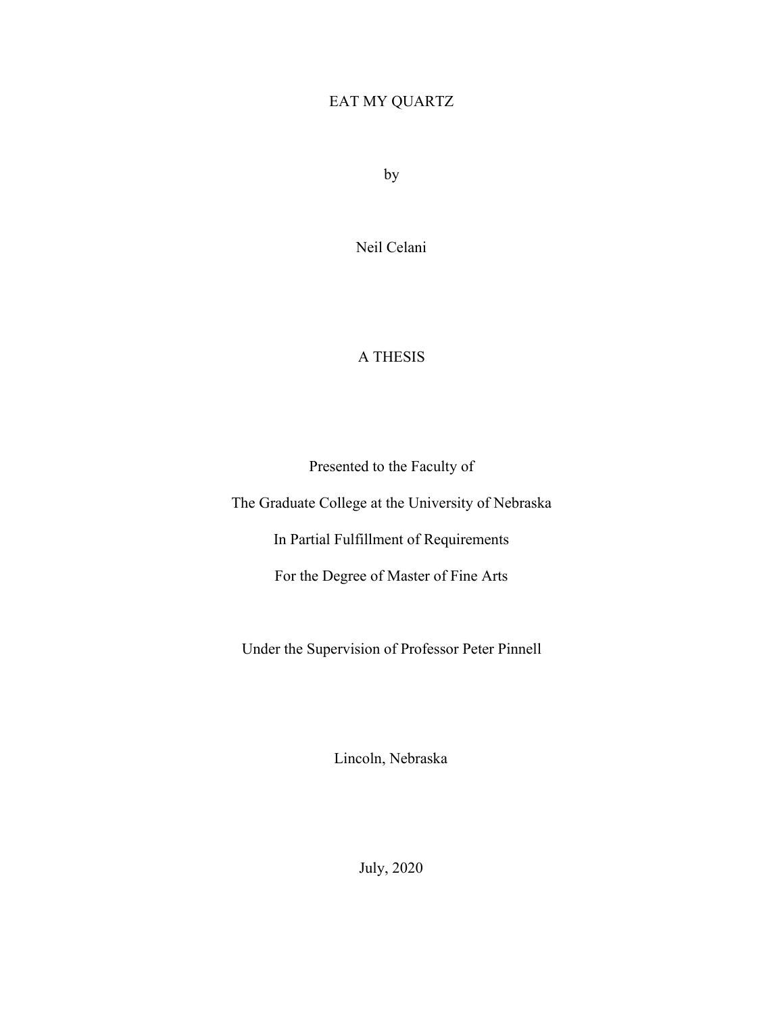## EAT MY QUARTZ

by

Neil Celani

## A THESIS

Presented to the Faculty of

The Graduate College at the University of Nebraska

In Partial Fulfillment of Requirements

For the Degree of Master of Fine Arts

Under the Supervision of Professor Peter Pinnell

Lincoln, Nebraska

July, 2020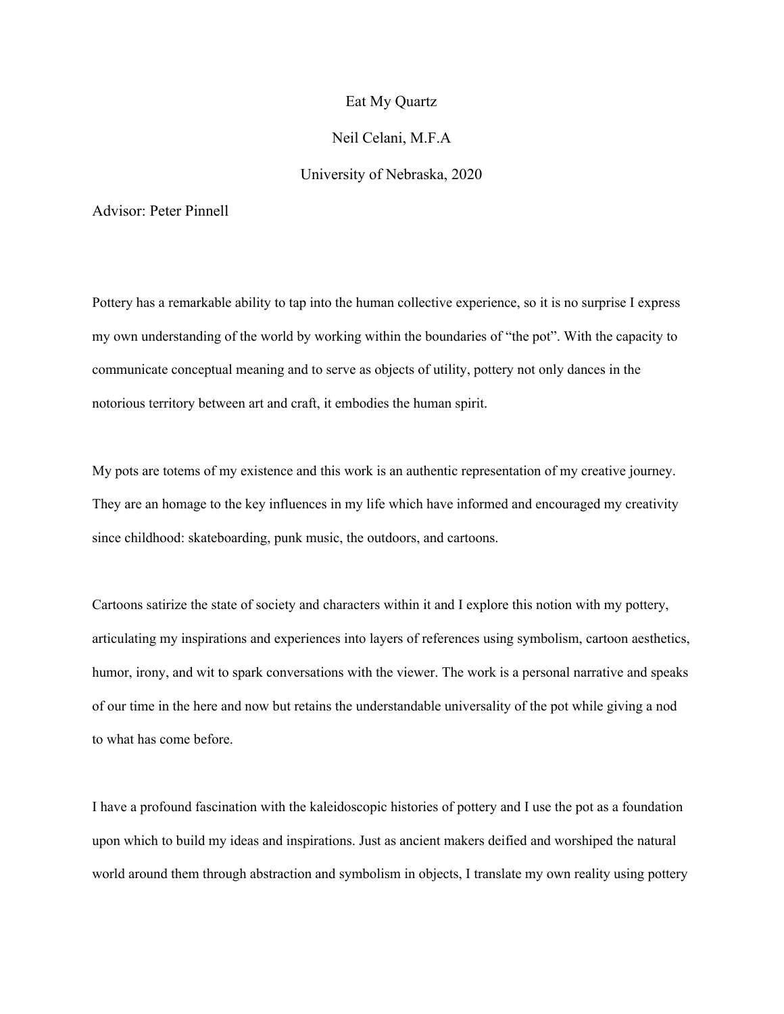#### Eat My Quartz

### Neil Celani, M.F.A

## University of Nebraska, 2020

Advisor: Peter Pinnell

Pottery has a remarkable ability to tap into the human collective experience, so it is no surprise I express my own understanding of the world by working within the boundaries of "the pot". With the capacity to communicate conceptual meaning and to serve as objects of utility, pottery not only dances in the notorious territory between art and craft, it embodies the human spirit.

My pots are totems of my existence and this work is an authentic representation of my creative journey. They are an homage to the key influences in my life which have informed and encouraged my creativity since childhood: skateboarding, punk music, the outdoors, and cartoons.

Cartoons satirize the state of society and characters within it and I explore this notion with my pottery, articulating my inspirations and experiences into layers of references using symbolism, cartoon aesthetics, humor, irony, and wit to spark conversations with the viewer. The work is a personal narrative and speaks of our time in the here and now but retains the understandable universality of the pot while giving a nod to what has come before.

I have a profound fascination with the kaleidoscopic histories of pottery and I use the pot as a foundation upon which to build my ideas and inspirations. Just as ancient makers deified and worshiped the natural world around them through abstraction and symbolism in objects, I translate my own reality using pottery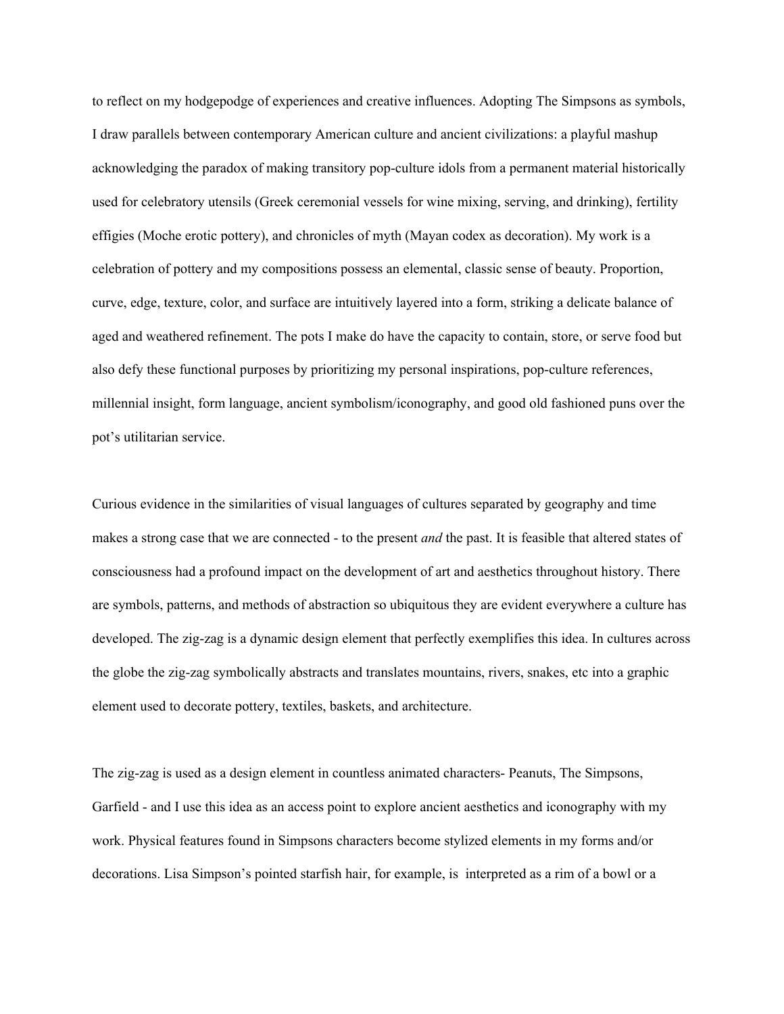to reflect on my hodgepodge of experiences and creative influences. Adopting The Simpsons as symbols, I draw parallels between contemporary American culture and ancient civilizations: a playful mashup acknowledging the paradox of making transitory pop-culture idols from a permanent material historically used for celebratory utensils (Greek ceremonial vessels for wine mixing, serving, and drinking), fertility effigies (Moche erotic pottery), and chronicles of myth (Mayan codex as decoration). My work is a celebration of pottery and my compositions possess an elemental, classic sense of beauty. Proportion, curve, edge, texture, color, and surface are intuitively layered into a form, striking a delicate balance of aged and weathered refinement. The pots I make do have the capacity to contain, store, or serve food but also defy these functional purposes by prioritizing my personal inspirations, pop-culture references, millennial insight, form language, ancient symbolism/iconography, and good old fashioned puns over the pot's utilitarian service.

Curious evidence in the similarities of visual languages of cultures separated by geography and time makes a strong case that we are connected - to the present *and* the past. It is feasible that altered states of consciousness had a profound impact on the development of art and aesthetics throughout history. There are symbols, patterns, and methods of abstraction so ubiquitous they are evident everywhere a culture has developed. The zig-zag is a dynamic design element that perfectly exemplifies this idea. In cultures across the globe the zig-zag symbolically abstracts and translates mountains, rivers, snakes, etc into a graphic element used to decorate pottery, textiles, baskets, and architecture.

The zig-zag is used as a design element in countless animated characters- Peanuts, The Simpsons, Garfield - and I use this idea as an access point to explore ancient aesthetics and iconography with my work. Physical features found in Simpsons characters become stylized elements in my forms and/or decorations. Lisa Simpson's pointed starfish hair, for example, is interpreted as a rim of a bowl or a